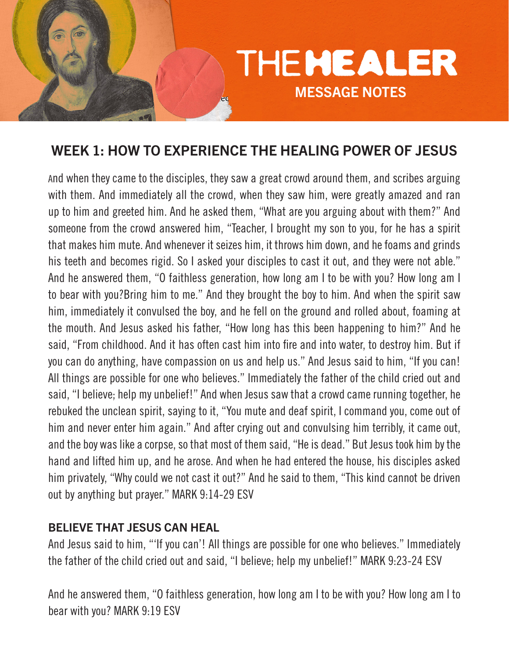# THEMEALER MESSAGE NOTES

# WEEK 1: HOW TO EXPERIENCE THE HEALING POWER OF JESUS

And when they came to the disciples, they saw a great crowd around them, and scribes arguing with them. And immediately all the crowd, when they saw him, were greatly amazed and ran up to him and greeted him. And he asked them, "What are you arguing about with them?" And someone from the crowd answered him, "Teacher, I brought my son to you, for he has a spirit that makes him mute. And whenever it seizes him, it throws him down, and he foams and grinds his teeth and becomes rigid. So I asked your disciples to cast it out, and they were not able." And he answered them, "O faithless generation, how long am I to be with you? How long am I to bear with you?Bring him to me." And they brought the boy to him. And when the spirit saw him, immediately it convulsed the boy, and he fell on the ground and rolled about, foaming at the mouth. And Jesus asked his father, "How long has this been happening to him?" And he said, "From childhood. And it has often cast him into fire and into water, to destroy him. But if you can do anything, have compassion on us and help us." And Jesus said to him, "If you can! All things are possible for one who believes." Immediately the father of the child cried out and said, "I believe; help my unbelief!" And when Jesus saw that a crowd came running together, he rebuked the unclean spirit, saying to it, "You mute and deaf spirit, I command you, come out of him and never enter him again." And after crying out and convulsing him terribly, it came out, and the boy was like a corpse, so that most of them said, "He is dead." But Jesus took him by the hand and lifted him up, and he arose. And when he had entered the house, his disciples asked him privately, "Why could we not cast it out?" And he said to them, "This kind cannot be driven out by anything but prayer." MARK 9:14-29 ESV

# BELIEVE THAT JESUS CAN HEAL

And Jesus said to him, "'If you can'! All things are possible for one who believes." Immediately the father of the child cried out and said, "I believe; help my unbelief!" MARK 9:23-24 ESV

And he answered them, "O faithless generation, how long am I to be with you? How long am I to bear with you? MARK 9:19 ESV